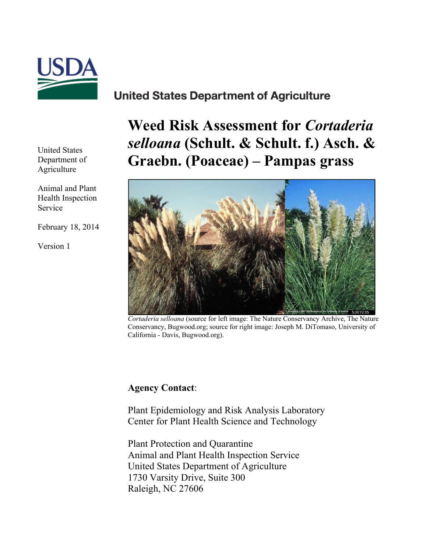

# **United States Department of Agriculture**

United States Department of Agriculture

Animal and Plant Health Inspection Service

February 18, 2014

Version 1

# **Weed Risk Assessment for** *Cortaderia selloana* **(Schult. & Schult. f.) Asch. & Graebn. (Poaceae) – Pampas grass**



*Cortaderia selloana* (source for left image: The Nature Conservancy Archive, The Nature Conservancy, Bugwood.org; source for right image: Joseph M. DiTomaso, University of California - Davis, Bugwood.org).

## **Agency Contact**:

Plant Epidemiology and Risk Analysis Laboratory Center for Plant Health Science and Technology

Plant Protection and Quarantine Animal and Plant Health Inspection Service United States Department of Agriculture 1730 Varsity Drive, Suite 300 Raleigh, NC 27606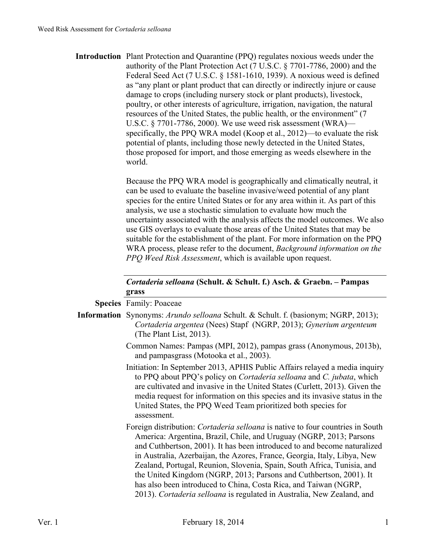**Introduction** Plant Protection and Quarantine (PPQ) regulates noxious weeds under the authority of the Plant Protection Act (7 U.S.C. § 7701-7786, 2000) and the Federal Seed Act (7 U.S.C. § 1581-1610, 1939). A noxious weed is defined as "any plant or plant product that can directly or indirectly injure or cause damage to crops (including nursery stock or plant products), livestock, poultry, or other interests of agriculture, irrigation, navigation, the natural resources of the United States, the public health, or the environment" (7 U.S.C. § 7701-7786, 2000). We use weed risk assessment (WRA) specifically, the PPQ WRA model (Koop et al., 2012)—to evaluate the risk potential of plants, including those newly detected in the United States, those proposed for import, and those emerging as weeds elsewhere in the world.

> Because the PPQ WRA model is geographically and climatically neutral, it can be used to evaluate the baseline invasive/weed potential of any plant species for the entire United States or for any area within it. As part of this analysis, we use a stochastic simulation to evaluate how much the uncertainty associated with the analysis affects the model outcomes. We also use GIS overlays to evaluate those areas of the United States that may be suitable for the establishment of the plant. For more information on the PPQ WRA process, please refer to the document, *Background information on the PPQ Weed Risk Assessment*, which is available upon request.

### *Cortaderia selloana* **(Schult. & Schult. f.) Asch. & Graebn. – Pampas grass**

**Species** Family: Poaceae

- **Information** Synonyms: *Arundo selloana* Schult. & Schult. f. (basionym; NGRP, 2013); *Cortaderia argentea* (Nees) Stapf (NGRP, 2013); *Gynerium argenteum* (The Plant List, 2013).
	- Common Names: Pampas (MPI, 2012), pampas grass (Anonymous, 2013b), and pampasgrass (Motooka et al., 2003).
	- Initiation: In September 2013, APHIS Public Affairs relayed a media inquiry to PPQ about PPQ's policy on *Cortaderia selloana* and *C. jubata*, which are cultivated and invasive in the United States (Curlett, 2013). Given the media request for information on this species and its invasive status in the United States, the PPQ Weed Team prioritized both species for assessment.
	- Foreign distribution: *Cortaderia selloana* is native to four countries in South America: Argentina, Brazil, Chile, and Uruguay (NGRP, 2013; Parsons and Cuthbertson, 2001). It has been introduced to and become naturalized in Australia, Azerbaijan, the Azores, France, Georgia, Italy, Libya, New Zealand, Portugal, Reunion, Slovenia, Spain, South Africa, Tunisia, and the United Kingdom (NGRP, 2013; Parsons and Cuthbertson, 2001). It has also been introduced to China, Costa Rica, and Taiwan (NGRP, 2013). *Cortaderia selloana* is regulated in Australia, New Zealand, and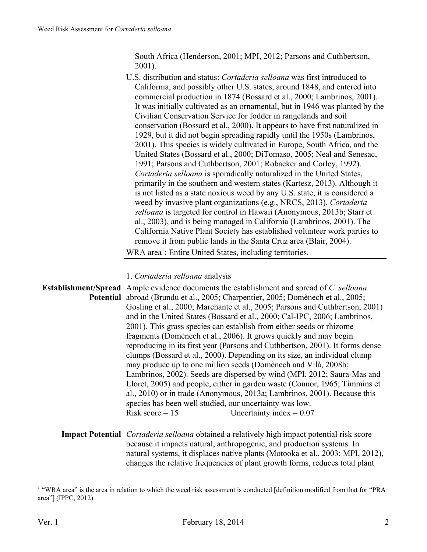South Africa (Henderson, 2001; MPI, 2012; Parsons and Cuthbertson, 2001).

| U.S. distribution and status: Cortaderia selloana was first introduced to                                                           |
|-------------------------------------------------------------------------------------------------------------------------------------|
| California, and possibly other U.S. states, around 1848, and entered into                                                           |
| commercial production in 1874 (Bossard et al., 2000; Lambrinos, 2001).                                                              |
| It was initially cultivated as an ornamental, but in 1946 was planted by the                                                        |
| Civilian Conservation Service for fodder in rangelands and soil                                                                     |
| conservation (Bossard et al., 2000). It appears to have first naturalized in                                                        |
| 1929, but it did not begin spreading rapidly until the 1950s (Lambrinos,                                                            |
| 2001). This species is widely cultivated in Europe, South Africa, and the                                                           |
| United States (Bossard et al., 2000; DiTomaso, 2005; Neal and Senesac,                                                              |
| 1991; Parsons and Cuthbertson, 2001; Robacker and Corley, 1992).                                                                    |
| Cortaderia selloana is sporadically naturalized in the United States,                                                               |
| primarily in the southern and western states (Kartesz, 2013). Although it                                                           |
| is not listed as a state noxious weed by any U.S. state, it is considered a                                                         |
| weed by invasive plant organizations (e.g., NRCS, 2013). Cortaderia                                                                 |
| selloana is targeted for control in Hawaii (Anonymous, 2013b; Starr et                                                              |
| al., 2003), and is being managed in California (Lambrinos, 2001). The                                                               |
| California Native Plant Society has established volunteer work parties to                                                           |
| remove it from public lands in the Santa Cruz area (Blair, 2004).                                                                   |
| WRA area <sup>1</sup> : Entire United States, including territories.                                                                |
|                                                                                                                                     |
| 1. Cortaderia selloana analysis                                                                                                     |
|                                                                                                                                     |
| <b>Establishment/Spread</b> Ample evidence documents the establishment and spread of C. selloana                                    |
| Potential abroad (Brundu et al., 2005; Charpentier, 2005; Domènech et al., 2005;                                                    |
| Gosling et al., 2000; Marchante et al., 2005; Parsons and Cuthbertson, 2001)                                                        |
| and in the United States (Bossard et al., 2000; Cal-IPC, 2006; Lambrinos,                                                           |
| 2001). This grass species can establish from either seeds or rhizome                                                                |
| fragments (Domènech et al., 2006). It grows quickly and may begin                                                                   |
| reproducing in its first year (Parsons and Cuthbertson, 2001). It forms dense                                                       |
| clumps (Bossard et al., 2000). Depending on its size, an individual clump                                                           |
| may produce up to one million seeds (Domènech and Vilà, 2008b;                                                                      |
| Lambrinos, 2002). Seeds are dispersed by wind (MPI, 2012; Saura-Mas and                                                             |
| Lloret, 2005) and people, either in garden waste (Connor, 1965; Timmins et                                                          |
| al., 2010) or in trade (Anonymous, 2013a; Lambrinos, 2001). Because this<br>species has been well studied, our uncertainty was low. |
|                                                                                                                                     |

species has been<br> $Risk score = 15$ Uncertainty index  $= 0.07$ 

**Impact Potential** *Cortaderia selloana* obtained a relatively high impact potential risk score because it impacts natural, anthropogenic, and production systems. In natural systems, it displaces native plants (Motooka et al., 2003; MPI, 2012), changes the relative frequencies of plant growth forms, reduces total plant

<sup>&</sup>lt;sup>1</sup> "WRA area" is the area in relation to which the weed risk assessment is conducted [definition modified from that for "PRA" area"] (IPPC, 2012).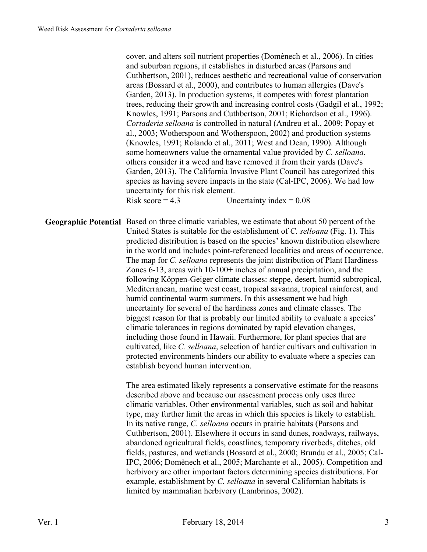cover, and alters soil nutrient properties (Domènech et al., 2006). In cities and suburban regions, it establishes in disturbed areas (Parsons and Cuthbertson, 2001), reduces aesthetic and recreational value of conservation areas (Bossard et al., 2000), and contributes to human allergies (Dave's Garden, 2013). In production systems, it competes with forest plantation trees, reducing their growth and increasing control costs (Gadgil et al., 1992; Knowles, 1991; Parsons and Cuthbertson, 2001; Richardson et al., 1996). *Cortaderia selloana* is controlled in natural (Andreu et al., 2009; Popay et al., 2003; Wotherspoon and Wotherspoon, 2002) and production systems (Knowles, 1991; Rolando et al., 2011; West and Dean, 1990). Although some homeowners value the ornamental value provided by *C. selloana*, others consider it a weed and have removed it from their yards (Dave's Garden, 2013). The California Invasive Plant Council has categorized this species as having severe impacts in the state (Cal-IPC, 2006). We had low uncertainty for this risk element. Risk score =  $4.3$  Uncertainty index =  $0.08$ 

**Geographic Potential** Based on three climatic variables, we estimate that about 50 percent of the United States is suitable for the establishment of *C. selloana* (Fig. 1). This predicted distribution is based on the species' known distribution elsewhere in the world and includes point-referenced localities and areas of occurrence. The map for *C. selloana* represents the joint distribution of Plant Hardiness Zones 6-13, areas with 10-100+ inches of annual precipitation, and the following Köppen-Geiger climate classes: steppe, desert, humid subtropical, Mediterranean, marine west coast, tropical savanna, tropical rainforest, and humid continental warm summers. In this assessment we had high uncertainty for several of the hardiness zones and climate classes. The biggest reason for that is probably our limited ability to evaluate a species' climatic tolerances in regions dominated by rapid elevation changes, including those found in Hawaii. Furthermore, for plant species that are cultivated, like *C. selloana*, selection of hardier cultivars and cultivation in protected environments hinders our ability to evaluate where a species can establish beyond human intervention.

> The area estimated likely represents a conservative estimate for the reasons described above and because our assessment process only uses three climatic variables. Other environmental variables, such as soil and habitat type, may further limit the areas in which this species is likely to establish. In its native range, *C. selloana* occurs in prairie habitats (Parsons and Cuthbertson, 2001). Elsewhere it occurs in sand dunes, roadways, railways, abandoned agricultural fields, coastlines, temporary riverbeds, ditches, old fields, pastures, and wetlands (Bossard et al., 2000; Brundu et al., 2005; Cal-IPC, 2006; Domènech et al., 2005; Marchante et al., 2005). Competition and herbivory are other important factors determining species distributions. For example, establishment by *C. selloana* in several Californian habitats is limited by mammalian herbivory (Lambrinos, 2002).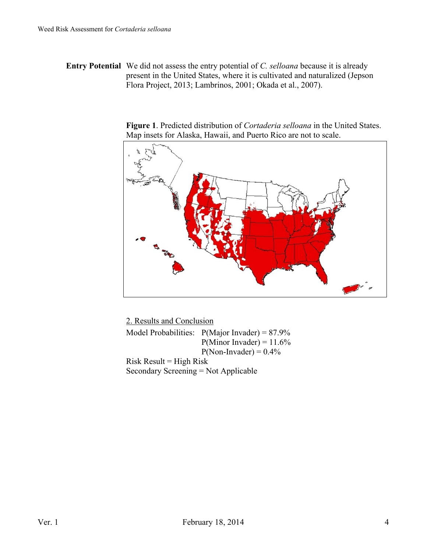**Entry Potential** We did not assess the entry potential of *C. selloana* because it is already present in the United States, where it is cultivated and naturalized (Jepson Flora Project, 2013; Lambrinos, 2001; Okada et al., 2007).

> **Figure 1**. Predicted distribution of *Cortaderia selloana* in the United States. Map insets for Alaska, Hawaii, and Puerto Rico are not to scale.



 2. Results and Conclusion Model Probabilities:  $P(Major\ Invader) = 87.9\%$  $P(Minor Invader) = 11.6%$  $P(Non-Invader) = 0.4\%$  $Risk$  Result = High Risk Secondary Screening = Not Applicable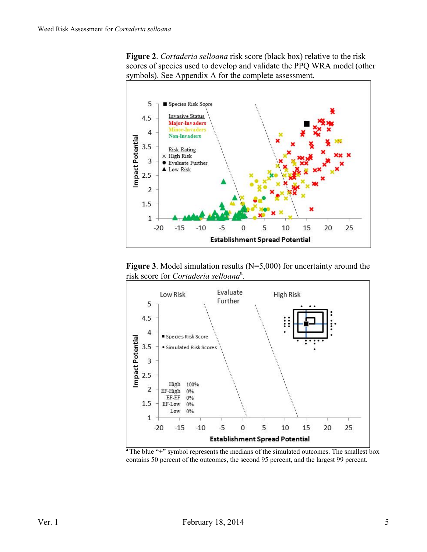







<sup>a</sup> The blue "+" symbol represents the medians of the simulated outcomes. The smallest box contains 50 percent of the outcomes, the second 95 percent, and the largest 99 percent.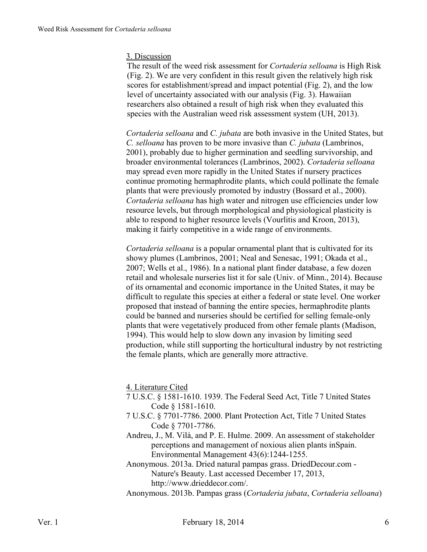#### 3. Discussion

The result of the weed risk assessment for *Cortaderia selloana* is High Risk (Fig. 2). We are very confident in this result given the relatively high risk scores for establishment/spread and impact potential (Fig. 2), and the low level of uncertainty associated with our analysis (Fig. 3). Hawaiian researchers also obtained a result of high risk when they evaluated this species with the Australian weed risk assessment system (UH, 2013).

*Cortaderia selloana* and *C. jubata* are both invasive in the United States, but *C. selloana* has proven to be more invasive than *C. jubata* (Lambrinos, 2001), probably due to higher germination and seedling survivorship, and broader environmental tolerances (Lambrinos, 2002). *Cortaderia selloana*  may spread even more rapidly in the United States if nursery practices continue promoting hermaphrodite plants, which could pollinate the female plants that were previously promoted by industry (Bossard et al., 2000). *Cortaderia selloana* has high water and nitrogen use efficiencies under low resource levels, but through morphological and physiological plasticity is able to respond to higher resource levels (Vourlitis and Kroon, 2013), making it fairly competitive in a wide range of environments.

*Cortaderia selloana* is a popular ornamental plant that is cultivated for its showy plumes (Lambrinos, 2001; Neal and Senesac, 1991; Okada et al., 2007; Wells et al., 1986). In a national plant finder database, a few dozen retail and wholesale nurseries list it for sale (Univ. of Minn., 2014). Because of its ornamental and economic importance in the United States, it may be difficult to regulate this species at either a federal or state level. One worker proposed that instead of banning the entire species, hermaphrodite plants could be banned and nurseries should be certified for selling female-only plants that were vegetatively produced from other female plants (Madison, 1994). This would help to slow down any invasion by limiting seed production, while still supporting the horticultural industry by not restricting the female plants, which are generally more attractive.

4. Literature Cited

- 7 U.S.C. § 1581-1610. 1939. The Federal Seed Act, Title 7 United States Code § 1581-1610.
- 7 U.S.C. § 7701-7786. 2000. Plant Protection Act, Title 7 United States Code § 7701-7786.
- Andreu, J., M. Vilà, and P. E. Hulme. 2009. An assessment of stakeholder perceptions and management of noxious alien plants inSpain. Environmental Management 43(6):1244-1255.
- Anonymous. 2013a. Dried natural pampas grass. DriedDecour.com Nature's Beauty. Last accessed December 17, 2013, http://www.drieddecor.com/.
- Anonymous. 2013b. Pampas grass (*Cortaderia jubata*, *Cortaderia selloana*)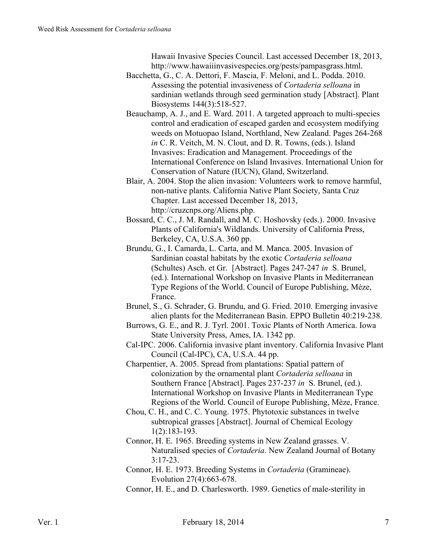Hawaii Invasive Species Council. Last accessed December 18, 2013, http://www.hawaiiinvasivespecies.org/pests/pampasgrass.html.

- Bacchetta, G., C. A. Dettori, F. Mascia, F. Meloni, and L. Podda. 2010. Assessing the potential invasiveness of *Cortaderia selloana* in sardinian wetlands through seed germination study [Abstract]. Plant Biosystems 144(3):518-527.
- Beauchamp, A. J., and E. Ward. 2011. A targeted approach to multi-species control and eradication of escaped garden and ecosystem modifying weeds on Motuopao Island, Northland, New Zealand. Pages 264-268 *in* C. R. Veitch, M. N. Clout, and D. R. Towns, (eds.). Island Invasives: Eradication and Management. Proceedings of the International Conference on Island Invasives. International Union for Conservation of Nature (IUCN), Gland, Switzerland.
- Blair, A. 2004. Stop the alien invasion: Volunteers work to remove harmful, non-native plants. California Native Plant Society, Santa Cruz Chapter. Last accessed December 18, 2013, http://cruzcnps.org/Aliens.php.
- Bossard, C. C., J. M. Randall, and M. C. Hoshovsky (eds.). 2000. Invasive Plants of California's Wildlands. University of California Press, Berkeley, CA, U.S.A. 360 pp.
- Brundu, G., I. Camarda, L. Carta, and M. Manca. 2005. Invasion of Sardinian coastal habitats by the exotic *Cortaderia selloana* (Schultes) Asch. et Gr. [Abstract]. Pages 247-247 *in* S. Brunel, (ed.). International Workshop on Invasive Plants in Mediterranean Type Regions of the World. Council of Europe Publishing, Mèze, France.
- Brunel, S., G. Schrader, G. Brundu, and G. Fried. 2010. Emerging invasive alien plants for the Mediterranean Basin. EPPO Bulletin 40:219-238.
- Burrows, G. E., and R. J. Tyrl. 2001. Toxic Plants of North America. Iowa State University Press, Ames, IA. 1342 pp.
- Cal-IPC. 2006. California invasive plant inventory. California Invasive Plant Council (Cal-IPC), CA, U.S.A. 44 pp.
- Charpentier, A. 2005. Spread from plantations: Spatial pattern of colonization by the ornamental plant *Cortaderia selloana* in Southern France [Abstract]. Pages 237-237 *in* S. Brunel, (ed.). International Workshop on Invasive Plants in Mediterranean Type Regions of the World. Council of Europe Publishing, Mèze, France.
- Chou, C. H., and C. C. Young. 1975. Phytotoxic substances in twelve subtropical grasses [Abstract]. Journal of Chemical Ecology 1(2):183-193.
- Connor, H. E. 1965. Breeding systems in New Zealand grasses. V. Naturalised species of *Cortaderia*. New Zealand Journal of Botany 3:17-23.
- Connor, H. E. 1973. Breeding Systems in *Cortaderia* (Gramineae). Evolution 27(4):663-678.
- Connor, H. E., and D. Charlesworth. 1989. Genetics of male-sterility in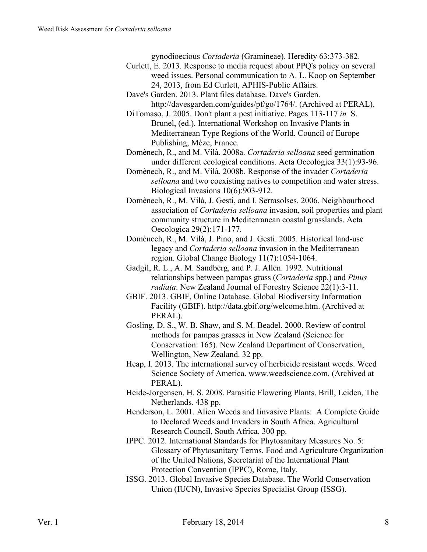gynodioecious *Cortaderia* (Gramineae). Heredity 63:373-382.

- Curlett, E. 2013. Response to media request about PPQ's policy on several weed issues. Personal communication to A. L. Koop on September 24, 2013, from Ed Curlett, APHIS-Public Affairs.
- Dave's Garden. 2013. Plant files database. Dave's Garden.

http://davesgarden.com/guides/pf/go/1764/. (Archived at PERAL).

- DiTomaso, J. 2005. Don't plant a pest initiative. Pages 113-117 *in* S. Brunel, (ed.). International Workshop on Invasive Plants in Mediterranean Type Regions of the World. Council of Europe Publishing, Mèze, France.
- Domènech, R., and M. Vilà. 2008a. *Cortaderia selloana* seed germination under different ecological conditions. Acta Oecologica 33(1):93-96.
- Domènech, R., and M. Vilà. 2008b. Response of the invader *Cortaderia selloana* and two coexisting natives to competition and water stress. Biological Invasions 10(6):903-912.
- Domènech, R., M. Vilà, J. Gesti, and I. Serrasolses. 2006. Neighbourhood association of *Cortaderia selloana* invasion, soil properties and plant community structure in Mediterranean coastal grasslands. Acta Oecologica 29(2):171-177.
- Domènech, R., M. Vilà, J. Pino, and J. Gesti. 2005. Historical land-use legacy and *Cortaderia selloana* invasion in the Mediterranean region. Global Change Biology 11(7):1054-1064.
- Gadgil, R. L., A. M. Sandberg, and P. J. Allen. 1992. Nutritional relationships between pampas grass (*Cortaderia* spp.) and *Pinus radiata*. New Zealand Journal of Forestry Science 22(1):3-11.
- GBIF. 2013. GBIF, Online Database. Global Biodiversity Information Facility (GBIF). http://data.gbif.org/welcome.htm. (Archived at PERAL).
- Gosling, D. S., W. B. Shaw, and S. M. Beadel. 2000. Review of control methods for pampas grasses in New Zealand (Science for Conservation: 165). New Zealand Department of Conservation, Wellington, New Zealand. 32 pp.
- Heap, I. 2013. The international survey of herbicide resistant weeds. Weed Science Society of America. www.weedscience.com. (Archived at PERAL).
- Heide-Jorgensen, H. S. 2008. Parasitic Flowering Plants. Brill, Leiden, The Netherlands. 438 pp.
- Henderson, L. 2001. Alien Weeds and Iinvasive Plants: A Complete Guide to Declared Weeds and Invaders in South Africa. Agricultural Research Council, South Africa. 300 pp.
- IPPC. 2012. International Standards for Phytosanitary Measures No. 5: Glossary of Phytosanitary Terms. Food and Agriculture Organization of the United Nations, Secretariat of the International Plant Protection Convention (IPPC), Rome, Italy.
- ISSG. 2013. Global Invasive Species Database. The World Conservation Union (IUCN), Invasive Species Specialist Group (ISSG).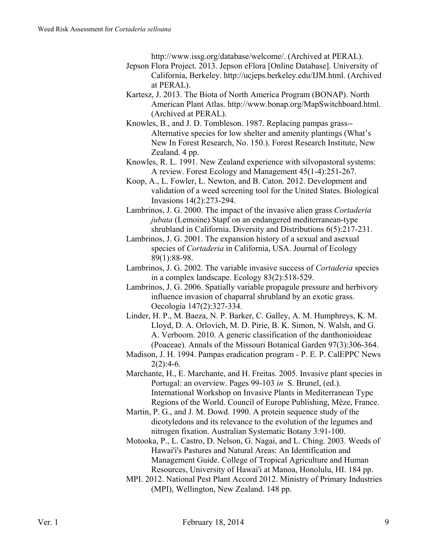http://www.issg.org/database/welcome/. (Archived at PERAL).

- Jepson Flora Project. 2013. Jepson eFlora [Online Database]. University of California, Berkeley. http://ucjeps.berkeley.edu/IJM.html. (Archived at PERAL).
- Kartesz, J. 2013. The Biota of North America Program (BONAP). North American Plant Atlas. http://www.bonap.org/MapSwitchboard.html. (Archived at PERAL).
- Knowles, B., and J. D. Tombleson. 1987. Replacing pampas grass-- Alternative species for low shelter and amenity plantings (What's New In Forest Research, No. 150.). Forest Research Institute, New Zealand. 4 pp.
- Knowles, R. L. 1991. New Zealand experience with silvopastoral systems: A review. Forest Ecology and Management 45(1-4):251-267.
- Koop, A., L. Fowler, L. Newton, and B. Caton. 2012. Development and validation of a weed screening tool for the United States. Biological Invasions 14(2):273-294.
- Lambrinos, J. G. 2000. The impact of the invasive alien grass *Cortaderia jubata* (Lemoine) Stapf on an endangered mediterranean-type shrubland in California. Diversity and Distributions 6(5):217-231.
- Lambrinos, J. G. 2001. The expansion history of a sexual and asexual species of *Cortaderia* in California, USA. Journal of Ecology 89(1):88-98.
- Lambrinos, J. G. 2002. The variable invasive success of *Cortaderia* species in a complex landscape. Ecology 83(2):518-529.
- Lambrinos, J. G. 2006. Spatially variable propagule pressure and herbivory influence invasion of chaparral shrubland by an exotic grass. Oecologia 147(2):327-334.
- Linder, H. P., M. Baeza, N. P. Barker, C. Galley, A. M. Humphreys, K. M. Lloyd, D. A. Orlovich, M. D. Pirie, B. K. Simon, N. Walsh, and G. A. Verboom. 2010. A generic classification of the danthonioideae (Poaceae). Annals of the Missouri Botanical Garden 97(3):306-364.
- Madison, J. H. 1994. Pampas eradication program P. E. P. CalEPPC News  $2(2):4-6.$
- Marchante, H., E. Marchante, and H. Freitas. 2005. Invasive plant species in Portugal: an overview. Pages 99-103 *in* S. Brunel, (ed.). International Workshop on Invasive Plants in Mediterranean Type Regions of the World. Council of Europe Publishing, Mèze, France.
- Martin, P. G., and J. M. Dowd. 1990. A protein sequence study of the dicotyledons and its relevance to the evolution of the legumes and nitrogen fixation. Australian Systematic Botany 3:91-100.
- Motooka, P., L. Castro, D. Nelson, G. Nagai, and L. Ching. 2003. Weeds of Hawai'i's Pastures and Natural Areas: An Identification and Management Guide. College of Tropical Agriculture and Human Resources, University of Hawai'i at Manoa, Honolulu, HI. 184 pp.
- MPI. 2012. National Pest Plant Accord 2012. Ministry of Primary Industries (MPI), Wellington, New Zealand. 148 pp.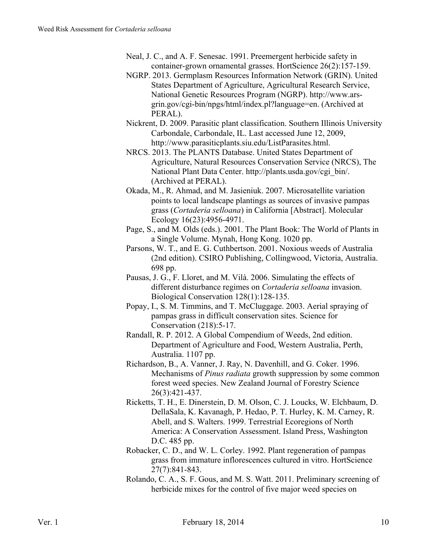- Neal, J. C., and A. F. Senesac. 1991. Preemergent herbicide safety in container-grown ornamental grasses. HortScience 26(2):157-159.
- NGRP. 2013. Germplasm Resources Information Network (GRIN). United States Department of Agriculture, Agricultural Research Service, National Genetic Resources Program (NGRP). http://www.arsgrin.gov/cgi-bin/npgs/html/index.pl?language=en. (Archived at PERAL).
- Nickrent, D. 2009. Parasitic plant classification. Southern Illinois University Carbondale, Carbondale, IL. Last accessed June 12, 2009, http://www.parasiticplants.siu.edu/ListParasites.html.
- NRCS. 2013. The PLANTS Database. United States Department of Agriculture, Natural Resources Conservation Service (NRCS), The National Plant Data Center. http://plants.usda.gov/cgi\_bin/. (Archived at PERAL).
- Okada, M., R. Ahmad, and M. Jasieniuk. 2007. Microsatellite variation points to local landscape plantings as sources of invasive pampas grass (*Cortaderia selloana*) in California [Abstract]. Molecular Ecology 16(23):4956-4971.
- Page, S., and M. Olds (eds.). 2001. The Plant Book: The World of Plants in a Single Volume. Mynah, Hong Kong. 1020 pp.
- Parsons, W. T., and E. G. Cuthbertson. 2001. Noxious weeds of Australia (2nd edition). CSIRO Publishing, Collingwood, Victoria, Australia. 698 pp.
- Pausas, J. G., F. Lloret, and M. Vilà. 2006. Simulating the effects of different disturbance regimes on *Cortaderia selloana* invasion. Biological Conservation 128(1):128-135.
- Popay, I., S. M. Timmins, and T. McCluggage. 2003. Aerial spraying of pampas grass in difficult conservation sites. Science for Conservation (218):5-17.
- Randall, R. P. 2012. A Global Compendium of Weeds, 2nd edition. Department of Agriculture and Food, Western Australia, Perth, Australia. 1107 pp.
- Richardson, B., A. Vanner, J. Ray, N. Davenhill, and G. Coker. 1996. Mechanisms of *Pinus radiata* growth suppression by some common forest weed species. New Zealand Journal of Forestry Science 26(3):421-437.
- Ricketts, T. H., E. Dinerstein, D. M. Olson, C. J. Loucks, W. Elchbaum, D. DellaSala, K. Kavanagh, P. Hedao, P. T. Hurley, K. M. Carney, R. Abell, and S. Walters. 1999. Terrestrial Ecoregions of North America: A Conservation Assessment. Island Press, Washington D.C. 485 pp.
- Robacker, C. D., and W. L. Corley. 1992. Plant regeneration of pampas grass from immature inflorescences cultured in vitro. HortScience 27(7):841-843.
- Rolando, C. A., S. F. Gous, and M. S. Watt. 2011. Preliminary screening of herbicide mixes for the control of five major weed species on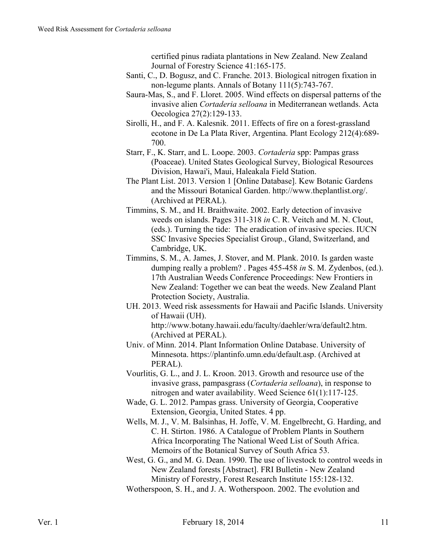certified pinus radiata plantations in New Zealand. New Zealand Journal of Forestry Science 41:165-175.

- Santi, C., D. Bogusz, and C. Franche. 2013. Biological nitrogen fixation in non-legume plants. Annals of Botany 111(5):743-767.
- Saura-Mas, S., and F. Lloret. 2005. Wind effects on dispersal patterns of the invasive alien *Cortaderia selloana* in Mediterranean wetlands. Acta Oecologica 27(2):129-133.
- Sirolli, H., and F. A. Kalesnik. 2011. Effects of fire on a forest-grassland ecotone in De La Plata River, Argentina. Plant Ecology 212(4):689- 700.
- Starr, F., K. Starr, and L. Loope. 2003. *Cortaderia* spp: Pampas grass (Poaceae). United States Geological Survey, Biological Resources Division, Hawai'i, Maui, Haleakala Field Station.
- The Plant List. 2013. Version 1 [Online Database]. Kew Botanic Gardens and the Missouri Botanical Garden. http://www.theplantlist.org/. (Archived at PERAL).
- Timmins, S. M., and H. Braithwaite. 2002. Early detection of invasive weeds on islands. Pages 311-318 *in* C. R. Veitch and M. N. Clout, (eds.). Turning the tide: The eradication of invasive species. IUCN SSC Invasive Species Specialist Group., Gland, Switzerland, and Cambridge, UK.
- Timmins, S. M., A. James, J. Stover, and M. Plank. 2010. Is garden waste dumping really a problem? . Pages 455-458 *in* S. M. Zydenbos, (ed.). 17th Australian Weeds Conference Proceedings: New Frontiers in New Zealand: Together we can beat the weeds. New Zealand Plant Protection Society, Australia.
- UH. 2013. Weed risk assessments for Hawaii and Pacific Islands. University of Hawaii (UH). http://www.botany.hawaii.edu/faculty/daehler/wra/default2.htm.

(Archived at PERAL).

- Univ. of Minn. 2014. Plant Information Online Database. University of Minnesota. https://plantinfo.umn.edu/default.asp. (Archived at PERAL).
- Vourlitis, G. L., and J. L. Kroon. 2013. Growth and resource use of the invasive grass, pampasgrass (*Cortaderia selloana*), in response to nitrogen and water availability. Weed Science 61(1):117-125.
- Wade, G. L. 2012. Pampas grass. University of Georgia, Cooperative Extension, Georgia, United States. 4 pp.
- Wells, M. J., V. M. Balsinhas, H. Joffe, V. M. Engelbrecht, G. Harding, and C. H. Stirton. 1986. A Catalogue of Problem Plants in Southern Africa Incorporating The National Weed List of South Africa. Memoirs of the Botanical Survey of South Africa 53.
- West, G. G., and M. G. Dean. 1990. The use of livestock to control weeds in New Zealand forests [Abstract]. FRI Bulletin - New Zealand Ministry of Forestry, Forest Research Institute 155:128-132.
- Wotherspoon, S. H., and J. A. Wotherspoon. 2002. The evolution and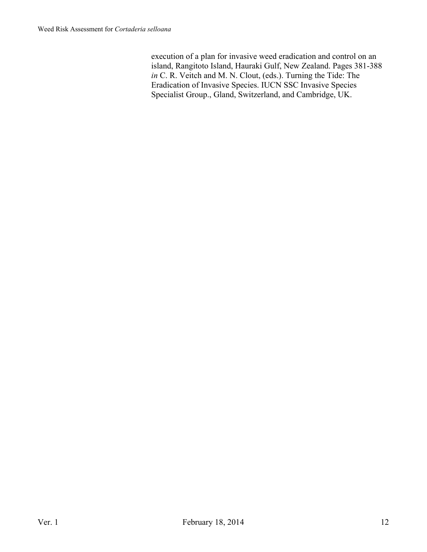execution of a plan for invasive weed eradication and control on an island, Rangitoto Island, Hauraki Gulf, New Zealand. Pages 381-388 *in* C. R. Veitch and M. N. Clout, (eds.). Turning the Tide: The Eradication of Invasive Species. IUCN SSC Invasive Species Specialist Group., Gland, Switzerland, and Cambridge, UK.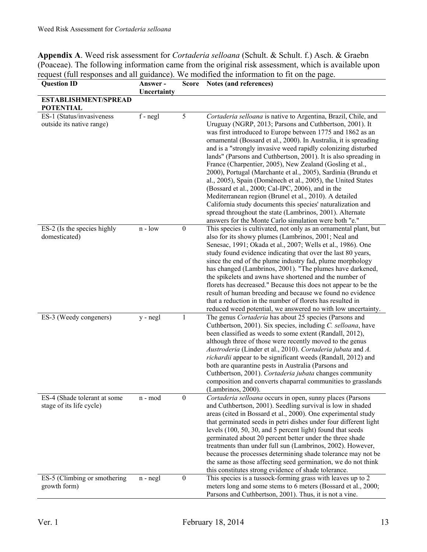**Appendix A**. Weed risk assessment for *Cortaderia selloana* (Schult. & Schult. f.) Asch. & Graebn (Poaceae). The following information came from the original risk assessment, which is available upon request (full responses and all guidance). We modified the information to fit on the page.

| <b>Question ID</b>                                       | Answer-     |                  | Score Notes (and references)                                                                                                                                                                                                                                                                                                                                                                                                                                                                                                                                                                                                                                                                                                                                                                                                                                                                    |
|----------------------------------------------------------|-------------|------------------|-------------------------------------------------------------------------------------------------------------------------------------------------------------------------------------------------------------------------------------------------------------------------------------------------------------------------------------------------------------------------------------------------------------------------------------------------------------------------------------------------------------------------------------------------------------------------------------------------------------------------------------------------------------------------------------------------------------------------------------------------------------------------------------------------------------------------------------------------------------------------------------------------|
| <b>ESTABLISHMENT/SPREAD</b>                              | Uncertainty |                  |                                                                                                                                                                                                                                                                                                                                                                                                                                                                                                                                                                                                                                                                                                                                                                                                                                                                                                 |
| <b>POTENTIAL</b>                                         |             |                  |                                                                                                                                                                                                                                                                                                                                                                                                                                                                                                                                                                                                                                                                                                                                                                                                                                                                                                 |
| ES-1 (Status/invasiveness<br>outside its native range)   | f - negl    | 5                | Cortaderia selloana is native to Argentina, Brazil, Chile, and<br>Uruguay (NGRP, 2013; Parsons and Cuthbertson, 2001). It<br>was first introduced to Europe between 1775 and 1862 as an<br>ornamental (Bossard et al., 2000). In Australia, it is spreading<br>and is a "strongly invasive weed rapidly colonizing disturbed<br>lands" (Parsons and Cuthbertson, 2001). It is also spreading in<br>France (Charpentier, 2005), New Zealand (Gosling et al.,<br>2000), Portugal (Marchante et al., 2005), Sardinia (Brundu et<br>al., 2005), Spain (Domènech et al., 2005), the United States<br>(Bossard et al., 2000; Cal-IPC, 2006), and in the<br>Mediterranean region (Brunel et al., 2010). A detailed<br>California study documents this species' naturalization and<br>spread throughout the state (Lambrinos, 2001). Alternate<br>answers for the Monte Carlo simulation were both "e." |
| ES-2 (Is the species highly<br>domesticated)             | $n - low$   | $\boldsymbol{0}$ | This species is cultivated, not only as an ornamental plant, but<br>also for its showy plumes (Lambrinos, 2001; Neal and<br>Senesac, 1991; Okada et al., 2007; Wells et al., 1986). One<br>study found evidence indicating that over the last 80 years,<br>since the end of the plume industry fad, plume morphology<br>has changed (Lambrinos, 2001). "The plumes have darkened,<br>the spikelets and awns have shortened and the number of<br>florets has decreased." Because this does not appear to be the<br>result of human breeding and because we found no evidence<br>that a reduction in the number of florets has resulted in<br>reduced weed potential, we answered no with low uncertainty.                                                                                                                                                                                        |
| ES-3 (Weedy congeners)                                   | $y - negl$  | $\mathbf{1}$     | The genus Cortaderia has about 25 species (Parsons and<br>Cuthbertson, 2001). Six species, including C. selloana, have<br>been classified as weeds to some extent (Randall, 2012),<br>although three of those were recently moved to the genus<br>Austroderia (Linder et al., 2010). Cortaderia jubata and A.<br>richardii appear to be significant weeds (Randall, 2012) and<br>both are quarantine pests in Australia (Parsons and<br>Cuthbertson, 2001). Cortaderia jubata changes community<br>composition and converts chaparral communities to grasslands<br>(Lambrinos, 2000).                                                                                                                                                                                                                                                                                                           |
| ES-4 (Shade tolerant at some<br>stage of its life cycle) | n - mod     | $\boldsymbol{0}$ | Cortaderia selloana occurs in open, sunny places (Parsons<br>and Cuthbertson, 2001). Seedling survival is low in shaded<br>areas (cited in Bossard et al., 2000). One experimental study<br>that germinated seeds in petri dishes under four different light<br>levels (100, 50, 30, and 5 percent light) found that seeds<br>germinated about 20 percent better under the three shade<br>treatments than under full sun (Lambrinos, 2002). However,<br>because the processes determining shade tolerance may not be<br>the same as those affecting seed germination, we do not think<br>this constitutes strong evidence of shade tolerance.                                                                                                                                                                                                                                                   |
| ES-5 (Climbing or smothering<br>growth form)             | $n - negl$  | $\boldsymbol{0}$ | This species is a tussock-forming grass with leaves up to 2<br>meters long and some stems to 6 meters (Bossard et al., 2000;<br>Parsons and Cuthbertson, 2001). Thus, it is not a vine.                                                                                                                                                                                                                                                                                                                                                                                                                                                                                                                                                                                                                                                                                                         |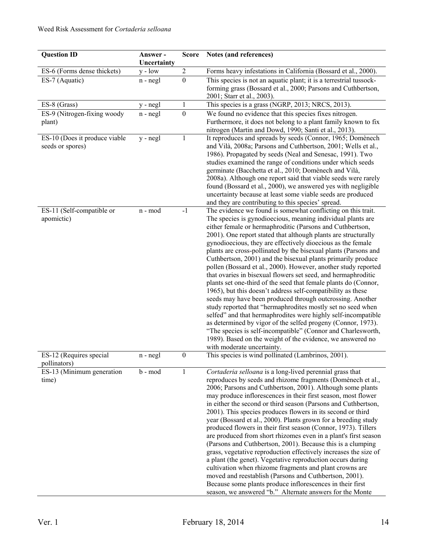| <b>Question ID</b>                                | Answer -<br>Uncertainty | <b>Score</b>     | Notes (and references)                                                                                                                                                                                                                                                                                                                                                                                                                                                                                                                                                                                                                                                                                                                                                                                                                                                                                                                                                                                                                                                                                                                                     |
|---------------------------------------------------|-------------------------|------------------|------------------------------------------------------------------------------------------------------------------------------------------------------------------------------------------------------------------------------------------------------------------------------------------------------------------------------------------------------------------------------------------------------------------------------------------------------------------------------------------------------------------------------------------------------------------------------------------------------------------------------------------------------------------------------------------------------------------------------------------------------------------------------------------------------------------------------------------------------------------------------------------------------------------------------------------------------------------------------------------------------------------------------------------------------------------------------------------------------------------------------------------------------------|
| ES-6 (Forms dense thickets)                       | $y - low$               | $\overline{2}$   | Forms heavy infestations in California (Bossard et al., 2000).                                                                                                                                                                                                                                                                                                                                                                                                                                                                                                                                                                                                                                                                                                                                                                                                                                                                                                                                                                                                                                                                                             |
| ES-7 (Aquatic)                                    | $n - negl$              | $\mathbf{0}$     | This species is not an aquatic plant; it is a terrestrial tussock-<br>forming grass (Bossard et al., 2000; Parsons and Cuthbertson,<br>2001; Starr et al., 2003).                                                                                                                                                                                                                                                                                                                                                                                                                                                                                                                                                                                                                                                                                                                                                                                                                                                                                                                                                                                          |
| ES-8 (Grass)                                      | y - negl                | $\mathbf{1}$     | This species is a grass (NGRP, 2013; NRCS, 2013).                                                                                                                                                                                                                                                                                                                                                                                                                                                                                                                                                                                                                                                                                                                                                                                                                                                                                                                                                                                                                                                                                                          |
| ES-9 (Nitrogen-fixing woody<br>plant)             | $n - negl$              | $\boldsymbol{0}$ | We found no evidence that this species fixes nitrogen.<br>Furthermore, it does not belong to a plant family known to fix<br>nitrogen (Martin and Dowd, 1990; Santi et al., 2013).                                                                                                                                                                                                                                                                                                                                                                                                                                                                                                                                                                                                                                                                                                                                                                                                                                                                                                                                                                          |
| ES-10 (Does it produce viable<br>seeds or spores) | $y - negl$              | 1                | It reproduces and spreads by seeds (Connor, 1965; Domènech<br>and Vilà, 2008a; Parsons and Cuthbertson, 2001; Wells et al.,<br>1986). Propagated by seeds (Neal and Senesac, 1991). Two<br>studies examined the range of conditions under which seeds<br>germinate (Bacchetta et al., 2010; Domènech and Vilà,<br>2008a). Although one report said that viable seeds were rarely<br>found (Bossard et al., 2000), we answered yes with negligible<br>uncertainty because at least some viable seeds are produced<br>and they are contributing to this species' spread.                                                                                                                                                                                                                                                                                                                                                                                                                                                                                                                                                                                     |
| ES-11 (Self-compatible or<br>apomictic)           | n - mod                 | $-1$             | The evidence we found is somewhat conflicting on this trait.<br>The species is gynodioecious, meaning individual plants are<br>either female or hermaphroditic (Parsons and Cuthbertson,<br>2001). One report stated that although plants are structurally<br>gynodioecious, they are effectively dioecious as the female<br>plants are cross-pollinated by the bisexual plants (Parsons and<br>Cuthbertson, 2001) and the bisexual plants primarily produce<br>pollen (Bossard et al., 2000). However, another study reported<br>that ovaries in bisexual flowers set seed, and hermaphroditic<br>plants set one-third of the seed that female plants do (Connor,<br>1965), but this doesn't address self-compatibility as these<br>seeds may have been produced through outcrossing. Another<br>study reported that "hermaphrodites mostly set no seed when<br>selfed" and that hermaphrodites were highly self-incompatible<br>as determined by vigor of the selfed progeny (Connor, 1973).<br>"The species is self-incompatible" (Connor and Charlesworth,<br>1989). Based on the weight of the evidence, we answered no<br>with moderate uncertainty. |
| ES-12 (Requires special<br>pollinators)           | $n - negl$              | $\boldsymbol{0}$ | This species is wind pollinated (Lambrinos, 2001).                                                                                                                                                                                                                                                                                                                                                                                                                                                                                                                                                                                                                                                                                                                                                                                                                                                                                                                                                                                                                                                                                                         |
| ES-13 (Minimum generation<br>time)                | b - mod                 | 1                | Cortaderia selloana is a long-lived perennial grass that<br>reproduces by seeds and rhizome fragments (Domènech et al.,<br>2006; Parsons and Cuthbertson, 2001). Although some plants<br>may produce inflorescences in their first season, most flower<br>in either the second or third season (Parsons and Cuthbertson,<br>2001). This species produces flowers in its second or third<br>year (Bossard et al., 2000). Plants grown for a breeding study<br>produced flowers in their first season (Connor, 1973). Tillers<br>are produced from short rhizomes even in a plant's first season<br>(Parsons and Cuthbertson, 2001). Because this is a clumping<br>grass, vegetative reproduction effectively increases the size of<br>a plant (the genet). Vegetative reproduction occurs during<br>cultivation when rhizome fragments and plant crowns are<br>moved and reestablish (Parsons and Cuthbertson, 2001).<br>Because some plants produce inflorescences in their first<br>season, we answered "b." Alternate answers for the Monte                                                                                                              |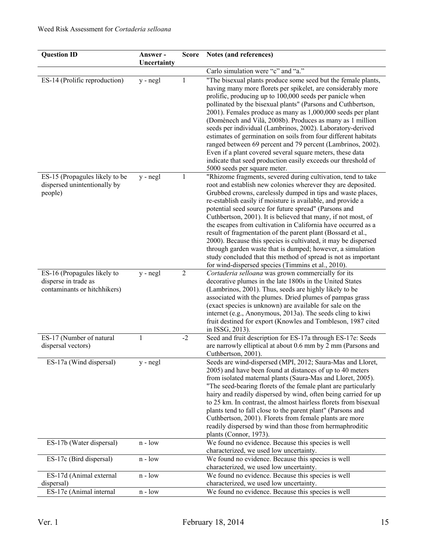| <b>Question ID</b>                                   | Answer -    | <b>Score</b> | Notes (and references)                                                                                                                                                                                                                                                                                                                                                                                                                                                                                                                                                                                                                                                                                                                             |
|------------------------------------------------------|-------------|--------------|----------------------------------------------------------------------------------------------------------------------------------------------------------------------------------------------------------------------------------------------------------------------------------------------------------------------------------------------------------------------------------------------------------------------------------------------------------------------------------------------------------------------------------------------------------------------------------------------------------------------------------------------------------------------------------------------------------------------------------------------------|
|                                                      | Uncertainty |              |                                                                                                                                                                                                                                                                                                                                                                                                                                                                                                                                                                                                                                                                                                                                                    |
|                                                      |             |              | Carlo simulation were "c" and "a."                                                                                                                                                                                                                                                                                                                                                                                                                                                                                                                                                                                                                                                                                                                 |
| ES-14 (Prolific reproduction)                        | $y - negl$  | 1            | "The bisexual plants produce some seed but the female plants,<br>having many more florets per spikelet, are considerably more<br>prolific, producing up to 100,000 seeds per panicle when<br>pollinated by the bisexual plants" (Parsons and Cuthbertson,<br>2001). Females produce as many as 1,000,000 seeds per plant<br>(Domènech and Vilà, 2008b). Produces as many as 1 million<br>seeds per individual (Lambrinos, 2002). Laboratory-derived<br>estimates of germination on soils from four different habitats<br>ranged between 69 percent and 79 percent (Lambrinos, 2002).<br>Even if a plant covered several square meters, these data<br>indicate that seed production easily exceeds our threshold of<br>5000 seeds per square meter. |
| ES-15 (Propagules likely to be                       | $y - negl$  | $\mathbf{1}$ | "Rhizome fragments, severed during cultivation, tend to take                                                                                                                                                                                                                                                                                                                                                                                                                                                                                                                                                                                                                                                                                       |
| dispersed unintentionally by<br>people)              |             |              | root and establish new colonies wherever they are deposited.<br>Grubbed crowns, carelessly dumped in tips and waste places,<br>re-establish easily if moisture is available, and provide a<br>potential seed source for future spread" (Parsons and<br>Cuthbertson, 2001). It is believed that many, if not most, of<br>the escapes from cultivation in California have occurred as a<br>result of fragmentation of the parent plant (Bossard et al.,<br>2000). Because this species is cultivated, it may be dispersed<br>through garden waste that is dumped; however, a simulation<br>study concluded that this method of spread is not as important<br>for wind-dispersed species (Timmins et al., 2010).                                      |
| ES-16 (Propagules likely to                          | $y - negl$  | $\sqrt{2}$   | Cortaderia selloana was grown commercially for its                                                                                                                                                                                                                                                                                                                                                                                                                                                                                                                                                                                                                                                                                                 |
| disperse in trade as<br>contaminants or hitchhikers) |             |              | decorative plumes in the late 1800s in the United States<br>(Lambrinos, 2001). Thus, seeds are highly likely to be<br>associated with the plumes. Dried plumes of pampas grass<br>(exact species is unknown) are available for sale on the<br>internet (e.g., Anonymous, 2013a). The seeds cling to kiwi<br>fruit destined for export (Knowles and Tombleson, 1987 cited<br>in ISSG, 2013).                                                                                                                                                                                                                                                                                                                                                        |
| ES-17 (Number of natural                             | 1           | $-2$         | Seed and fruit description for ES-17a through ES-17e: Seeds                                                                                                                                                                                                                                                                                                                                                                                                                                                                                                                                                                                                                                                                                        |
| dispersal vectors)                                   |             |              | are narrowly elliptical at about 0.6 mm by 2 mm (Parsons and<br>Cuthbertson, 2001).                                                                                                                                                                                                                                                                                                                                                                                                                                                                                                                                                                                                                                                                |
| ES-17a (Wind dispersal)                              | y - negl    |              | Seeds are wind-dispersed (MPI, 2012; Saura-Mas and Lloret,<br>2005) and have been found at distances of up to 40 meters<br>from isolated maternal plants (Saura-Mas and Lloret, 2005).<br>"The seed-bearing florets of the female plant are particularly<br>hairy and readily dispersed by wind, often being carried for up<br>to 25 km. In contrast, the almost hairless florets from bisexual<br>plants tend to fall close to the parent plant" (Parsons and<br>Cuthbertson, 2001). Florets from female plants are more<br>readily dispersed by wind than those from hermaphroditic<br>plants (Connor, 1973).                                                                                                                                    |
| ES-17b (Water dispersal)                             | $n - low$   |              | We found no evidence. Because this species is well<br>characterized, we used low uncertainty.                                                                                                                                                                                                                                                                                                                                                                                                                                                                                                                                                                                                                                                      |
| ES-17c (Bird dispersal)                              | $n - low$   |              | We found no evidence. Because this species is well<br>characterized, we used low uncertainty.                                                                                                                                                                                                                                                                                                                                                                                                                                                                                                                                                                                                                                                      |
| ES-17d (Animal external                              | $n - low$   |              | We found no evidence. Because this species is well                                                                                                                                                                                                                                                                                                                                                                                                                                                                                                                                                                                                                                                                                                 |
| dispersal)                                           |             |              | characterized, we used low uncertainty.                                                                                                                                                                                                                                                                                                                                                                                                                                                                                                                                                                                                                                                                                                            |
| ES-17e (Animal internal                              | $n - low$   |              | We found no evidence. Because this species is well                                                                                                                                                                                                                                                                                                                                                                                                                                                                                                                                                                                                                                                                                                 |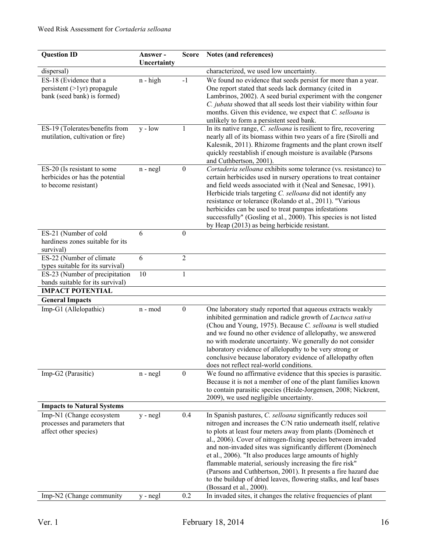| <b>Question ID</b>                                                                      | Answer-<br>Uncertainty | <b>Score</b>     | Notes (and references)                                                                                                                                                                                                                                                                                                                                                                                                                                                                                                                                                                                                |
|-----------------------------------------------------------------------------------------|------------------------|------------------|-----------------------------------------------------------------------------------------------------------------------------------------------------------------------------------------------------------------------------------------------------------------------------------------------------------------------------------------------------------------------------------------------------------------------------------------------------------------------------------------------------------------------------------------------------------------------------------------------------------------------|
| dispersal)                                                                              |                        |                  | characterized, we used low uncertainty.                                                                                                                                                                                                                                                                                                                                                                                                                                                                                                                                                                               |
|                                                                                         |                        |                  |                                                                                                                                                                                                                                                                                                                                                                                                                                                                                                                                                                                                                       |
| ES-18 (Evidence that a<br>persistent $(>1$ yr) propagule<br>bank (seed bank) is formed) | $n - high$             | $-1$             | We found no evidence that seeds persist for more than a year.<br>One report stated that seeds lack dormancy (cited in<br>Lambrinos, 2002). A seed burial experiment with the congener<br>C. jubata showed that all seeds lost their viability within four<br>months. Given this evidence, we expect that C. selloana is<br>unlikely to form a persistent seed bank.                                                                                                                                                                                                                                                   |
| ES-19 (Tolerates/benefits from<br>mutilation, cultivation or fire)                      | $y - low$              | $\mathbf{1}$     | In its native range, C. selloana is resilient to fire, recovering<br>nearly all of its biomass within two years of a fire (Sirolli and<br>Kalesnik, 2011). Rhizome fragments and the plant crown itself<br>quickly reestablish if enough moisture is available (Parsons<br>and Cuthbertson, 2001).                                                                                                                                                                                                                                                                                                                    |
| ES-20 (Is resistant to some<br>herbicides or has the potential<br>to become resistant)  | $n - negl$             | $\boldsymbol{0}$ | Cortaderia selloana exhibits some tolerance (vs. resistance) to<br>certain herbicides used in nursery operations to treat container<br>and field weeds associated with it (Neal and Senesac, 1991).<br>Herbicide trials targeting C. selloana did not identify any<br>resistance or tolerance (Rolando et al., 2011). "Various<br>herbicides can be used to treat pampas infestations<br>successfully" (Gosling et al., 2000). This species is not listed<br>by Heap (2013) as being herbicide resistant.                                                                                                             |
| ES-21 (Number of cold<br>hardiness zones suitable for its<br>survival)                  | 6                      | $\boldsymbol{0}$ |                                                                                                                                                                                                                                                                                                                                                                                                                                                                                                                                                                                                                       |
| ES-22 (Number of climate<br>types suitable for its survival)                            | 6                      | $\overline{2}$   |                                                                                                                                                                                                                                                                                                                                                                                                                                                                                                                                                                                                                       |
| ES-23 (Number of precipitation                                                          | 10                     | $\mathbf{1}$     |                                                                                                                                                                                                                                                                                                                                                                                                                                                                                                                                                                                                                       |
| bands suitable for its survival)                                                        |                        |                  |                                                                                                                                                                                                                                                                                                                                                                                                                                                                                                                                                                                                                       |
| <b>IMPACT POTENTIAL</b>                                                                 |                        |                  |                                                                                                                                                                                                                                                                                                                                                                                                                                                                                                                                                                                                                       |
| <b>General Impacts</b>                                                                  |                        |                  |                                                                                                                                                                                                                                                                                                                                                                                                                                                                                                                                                                                                                       |
| Imp-G1 (Allelopathic)                                                                   | n - mod                | $\boldsymbol{0}$ | One laboratory study reported that aqueous extracts weakly<br>inhibited germination and radicle growth of Lactuca sativa<br>(Chou and Young, 1975). Because C. selloana is well studied<br>and we found no other evidence of allelopathy, we answered<br>no with moderate uncertainty. We generally do not consider<br>laboratory evidence of allelopathy to be very strong or<br>conclusive because laboratory evidence of allelopathy often<br>does not reflect real-world conditions.                                                                                                                              |
| Imp-G2 (Parasitic)                                                                      | $n - negl$             | $\boldsymbol{0}$ | We found no affirmative evidence that this species is parasitic.<br>Because it is not a member of one of the plant families known<br>to contain parasitic species (Heide-Jorgensen, 2008; Nickrent,<br>2009), we used negligible uncertainty.                                                                                                                                                                                                                                                                                                                                                                         |
| <b>Impacts to Natural Systems</b>                                                       |                        |                  |                                                                                                                                                                                                                                                                                                                                                                                                                                                                                                                                                                                                                       |
| Imp-N1 (Change ecosystem<br>processes and parameters that<br>affect other species)      | $y - negl$             | 0.4              | In Spanish pastures, C. selloana significantly reduces soil<br>nitrogen and increases the C/N ratio underneath itself, relative<br>to plots at least four meters away from plants (Domènech et<br>al., 2006). Cover of nitrogen-fixing species between invaded<br>and non-invaded sites was significantly different (Domènech<br>et al., 2006). "It also produces large amounts of highly<br>flammable material, seriously increasing the fire risk"<br>(Parsons and Cuthbertson, 2001). It presents a fire hazard due<br>to the buildup of dried leaves, flowering stalks, and leaf bases<br>(Bossard et al., 2000). |
| Imp-N2 (Change community                                                                | y - negl               | 0.2              | In invaded sites, it changes the relative frequencies of plant                                                                                                                                                                                                                                                                                                                                                                                                                                                                                                                                                        |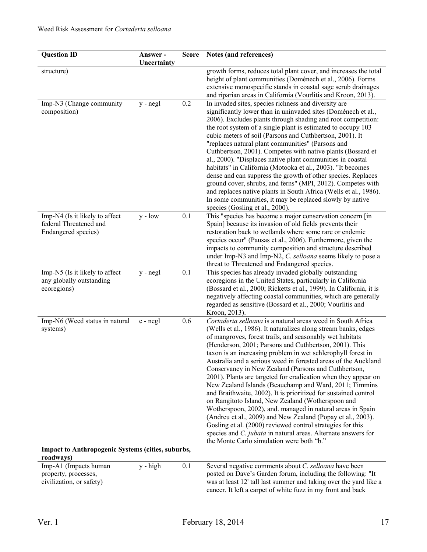| <b>Question ID</b>                                                              | Answer -<br>Uncertainty |     | Score Notes (and references)                                                                                                                                                                                                                                                                                                                                                                                                                                                                                                                                                                                                                                                                                                                                                                                                                                                                                                                                                                                      |
|---------------------------------------------------------------------------------|-------------------------|-----|-------------------------------------------------------------------------------------------------------------------------------------------------------------------------------------------------------------------------------------------------------------------------------------------------------------------------------------------------------------------------------------------------------------------------------------------------------------------------------------------------------------------------------------------------------------------------------------------------------------------------------------------------------------------------------------------------------------------------------------------------------------------------------------------------------------------------------------------------------------------------------------------------------------------------------------------------------------------------------------------------------------------|
| structure)                                                                      |                         |     | growth forms, reduces total plant cover, and increases the total<br>height of plant communities (Domènech et al., 2006). Forms<br>extensive monospecific stands in coastal sage scrub drainages<br>and riparian areas in California (Vourlitis and Kroon, 2013).                                                                                                                                                                                                                                                                                                                                                                                                                                                                                                                                                                                                                                                                                                                                                  |
| Imp-N3 (Change community<br>composition)                                        | $y - negl$              | 0.2 | In invaded sites, species richness and diversity are<br>significantly lower than in uninvaded sites (Domènech et al.,<br>2006). Excludes plants through shading and root competition:<br>the root system of a single plant is estimated to occupy 103<br>cubic meters of soil (Parsons and Cuthbertson, 2001). It<br>"replaces natural plant communities" (Parsons and<br>Cuthbertson, 2001). Competes with native plants (Bossard et<br>al., 2000). "Displaces native plant communities in coastal<br>habitats" in California (Motooka et al., 2003). "It becomes<br>dense and can suppress the growth of other species. Replaces<br>ground cover, shrubs, and ferns" (MPI, 2012). Competes with<br>and replaces native plants in South Africa (Wells et al., 1986).<br>In some communities, it may be replaced slowly by native<br>species (Gosling et al., 2000).                                                                                                                                              |
| Imp-N4 (Is it likely to affect<br>federal Threatened and<br>Endangered species) | $y - low$               | 0.1 | This "species has become a major conservation concern [in<br>Spain] because its invasion of old fields prevents their<br>restoration back to wetlands where some rare or endemic<br>species occur" (Pausas et al., 2006). Furthermore, given the<br>impacts to community composition and structure described<br>under Imp-N3 and Imp-N2, C. selloana seems likely to pose a<br>threat to Threatened and Endangered species.                                                                                                                                                                                                                                                                                                                                                                                                                                                                                                                                                                                       |
| Imp-N5 (Is it likely to affect<br>any globally outstanding<br>ecoregions)       | $y - negl$              | 0.1 | This species has already invaded globally outstanding<br>ecoregions in the United States, particularly in California<br>(Bossard et al., 2000; Ricketts et al., 1999). In California, it is<br>negatively affecting coastal communities, which are generally<br>regarded as sensitive (Bossard et al., 2000; Vourlitis and<br>Kroon, 2013).                                                                                                                                                                                                                                                                                                                                                                                                                                                                                                                                                                                                                                                                       |
| Imp-N6 (Weed status in natural<br>systems)                                      | c - negl                | 0.6 | Cortaderia selloana is a natural areas weed in South Africa<br>(Wells et al., 1986). It naturalizes along stream banks, edges<br>of mangroves, forest trails, and seasonably wet habitats<br>(Henderson, 2001; Parsons and Cuthbertson, 2001). This<br>taxon is an increasing problem in wet schlerophyll forest in<br>Australia and a serious weed in forested areas of the Auckland<br>Conservancy in New Zealand (Parsons and Cuthbertson,<br>2001). Plants are targeted for eradication when they appear on<br>New Zealand Islands (Beauchamp and Ward, 2011; Timmins<br>and Braithwaite, 2002). It is prioritized for sustained control<br>on Rangitoto Island, New Zealand (Wotherspoon and<br>Wotherspoon, 2002), and. managed in natural areas in Spain<br>(Andreu et al., 2009) and New Zealand (Popay et al., 2003).<br>Gosling et al. (2000) reviewed control strategies for this<br>species and <i>C. jubata</i> in natural areas. Alternate answers for<br>the Monte Carlo simulation were both "b." |
| Impact to Anthropogenic Systems (cities, suburbs,<br>roadways)                  |                         |     |                                                                                                                                                                                                                                                                                                                                                                                                                                                                                                                                                                                                                                                                                                                                                                                                                                                                                                                                                                                                                   |
| Imp-A1 (Impacts human<br>property, processes,<br>civilization, or safety)       | $y - high$              | 0.1 | Several negative comments about C. selloana have been<br>posted on Dave's Garden forum, including the following: "It<br>was at least 12' tall last summer and taking over the yard like a<br>cancer. It left a carpet of white fuzz in my front and back                                                                                                                                                                                                                                                                                                                                                                                                                                                                                                                                                                                                                                                                                                                                                          |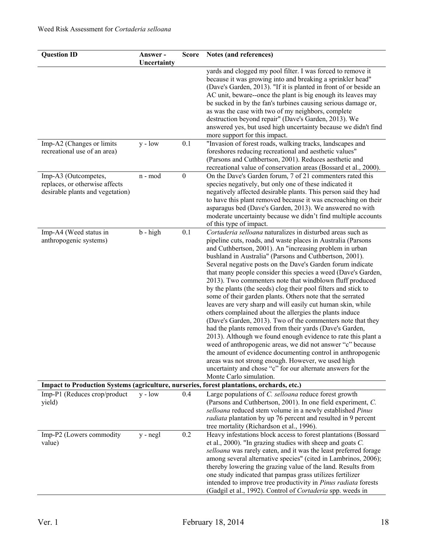| <b>Question ID</b>                                                                         | Answer-<br>Uncertainty | <b>Score</b>     | Notes (and references)                                                                                                                                                                                                                                                                                                                                                                                                                                                                                                                                                                                                                                                                                                                                                                                                                                                                                                                                                                                                                                                                                                                                                        |
|--------------------------------------------------------------------------------------------|------------------------|------------------|-------------------------------------------------------------------------------------------------------------------------------------------------------------------------------------------------------------------------------------------------------------------------------------------------------------------------------------------------------------------------------------------------------------------------------------------------------------------------------------------------------------------------------------------------------------------------------------------------------------------------------------------------------------------------------------------------------------------------------------------------------------------------------------------------------------------------------------------------------------------------------------------------------------------------------------------------------------------------------------------------------------------------------------------------------------------------------------------------------------------------------------------------------------------------------|
|                                                                                            |                        |                  | yards and clogged my pool filter. I was forced to remove it<br>because it was growing into and breaking a sprinkler head"<br>(Dave's Garden, 2013). "If it is planted in front of or beside an<br>AC unit, beware-once the plant is big enough its leaves may<br>be sucked in by the fan's turbines causing serious damage or,<br>as was the case with two of my neighbors, complete<br>destruction beyond repair" (Dave's Garden, 2013). We<br>answered yes, but used high uncertainty because we didn't find<br>more support for this impact.                                                                                                                                                                                                                                                                                                                                                                                                                                                                                                                                                                                                                               |
| Imp-A2 (Changes or limits<br>recreational use of an area)                                  | $y - low$              | 0.1              | "Invasion of forest roads, walking tracks, landscapes and<br>foreshores reducing recreational and aesthetic values"<br>(Parsons and Cuthbertson, 2001). Reduces aesthetic and<br>recreational value of conservation areas (Bossard et al., 2000).                                                                                                                                                                                                                                                                                                                                                                                                                                                                                                                                                                                                                                                                                                                                                                                                                                                                                                                             |
| Imp-A3 (Outcompetes,<br>replaces, or otherwise affects<br>desirable plants and vegetation) | n - mod                | $\boldsymbol{0}$ | On the Dave's Garden forum, 7 of 21 commenters rated this<br>species negatively, but only one of these indicated it<br>negatively affected desirable plants. This person said they had<br>to have this plant removed because it was encroaching on their<br>asparagus bed (Dave's Garden, 2013). We answered no with<br>moderate uncertainty because we didn't find multiple accounts<br>of this type of impact.                                                                                                                                                                                                                                                                                                                                                                                                                                                                                                                                                                                                                                                                                                                                                              |
| Imp-A4 (Weed status in<br>anthropogenic systems)                                           | b - high               | 0.1              | Cortaderia selloana naturalizes in disturbed areas such as<br>pipeline cuts, roads, and waste places in Australia (Parsons<br>and Cuthbertson, 2001). An "increasing problem in urban<br>bushland in Australia" (Parsons and Cuthbertson, 2001).<br>Several negative posts on the Dave's Garden forum indicate<br>that many people consider this species a weed (Dave's Garden,<br>2013). Two commenters note that windblown fluff produced<br>by the plants (the seeds) clog their pool filters and stick to<br>some of their garden plants. Others note that the serrated<br>leaves are very sharp and will easily cut human skin, while<br>others complained about the allergies the plants induce<br>(Dave's Garden, 2013). Two of the commenters note that they<br>had the plants removed from their yards (Dave's Garden,<br>2013). Although we found enough evidence to rate this plant a<br>weed of anthropogenic areas, we did not answer "c" because<br>the amount of evidence documenting control in anthropogenic<br>areas was not strong enough. However, we used high<br>uncertainty and chose "c" for our alternate answers for the<br>Monte Carlo simulation. |
|                                                                                            |                        |                  | Impact to Production Systems (agriculture, nurseries, forest plantations, orchards, etc.)                                                                                                                                                                                                                                                                                                                                                                                                                                                                                                                                                                                                                                                                                                                                                                                                                                                                                                                                                                                                                                                                                     |
| Imp-P1 (Reduces crop/product<br>yield)                                                     | $y - low$              | 0.4              | Large populations of C. selloana reduce forest growth<br>(Parsons and Cuthbertson, 2001). In one field experiment, C.<br>selloana reduced stem volume in a newly established Pinus<br><i>radiata</i> plantation by up 76 percent and resulted in 9 percent<br>tree mortality (Richardson et al., 1996).                                                                                                                                                                                                                                                                                                                                                                                                                                                                                                                                                                                                                                                                                                                                                                                                                                                                       |
| Imp-P2 (Lowers commodity<br>value)                                                         | y - negl               | 0.2              | Heavy infestations block access to forest plantations (Bossard<br>et al., 2000). "In grazing studies with sheep and goats C.<br>selloana was rarely eaten, and it was the least preferred forage<br>among several alternative species" (cited in Lambrinos, 2006);<br>thereby lowering the grazing value of the land. Results from<br>one study indicated that pampas grass utilizes fertilizer<br>intended to improve tree productivity in Pinus radiata forests<br>(Gadgil et al., 1992). Control of Cortaderia spp. weeds in                                                                                                                                                                                                                                                                                                                                                                                                                                                                                                                                                                                                                                               |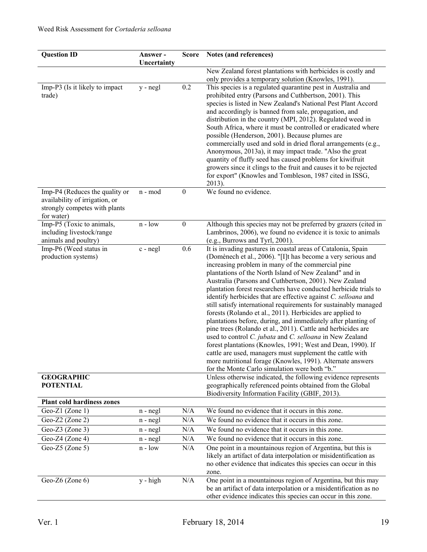| <b>Question ID</b>                          | Answer-<br>Uncertainty | Score            | Notes (and references)                                                                                                                                                                                                                                                                                                                                                                                                                                                                                                                                                                                                                                                                                                                                                                                                                 |
|---------------------------------------------|------------------------|------------------|----------------------------------------------------------------------------------------------------------------------------------------------------------------------------------------------------------------------------------------------------------------------------------------------------------------------------------------------------------------------------------------------------------------------------------------------------------------------------------------------------------------------------------------------------------------------------------------------------------------------------------------------------------------------------------------------------------------------------------------------------------------------------------------------------------------------------------------|
|                                             |                        |                  | New Zealand forest plantations with herbicides is costly and                                                                                                                                                                                                                                                                                                                                                                                                                                                                                                                                                                                                                                                                                                                                                                           |
|                                             |                        |                  | only provides a temporary solution (Knowles, 1991).                                                                                                                                                                                                                                                                                                                                                                                                                                                                                                                                                                                                                                                                                                                                                                                    |
| Imp-P3 (Is it likely to impact<br>trade)    | $y - negl$             | 0.2              | This species is a regulated quarantine pest in Australia and<br>prohibited entry (Parsons and Cuthbertson, 2001). This<br>species is listed in New Zealand's National Pest Plant Accord<br>and accordingly is banned from sale, propagation, and<br>distribution in the country (MPI, 2012). Regulated weed in<br>South Africa, where it must be controlled or eradicated where<br>possible (Henderson, 2001). Because plumes are<br>commercially used and sold in dried floral arrangements (e.g.,<br>Anonymous, 2013a), it may impact trade. "Also the great<br>quantity of fluffy seed has caused problems for kiwifruit<br>growers since it clings to the fruit and causes it to be rejected<br>for export" (Knowles and Tombleson, 1987 cited in ISSG,<br>2013).                                                                  |
| Imp-P4 (Reduces the quality or              | n - mod                | $\boldsymbol{0}$ | We found no evidence.                                                                                                                                                                                                                                                                                                                                                                                                                                                                                                                                                                                                                                                                                                                                                                                                                  |
| availability of irrigation, or              |                        |                  |                                                                                                                                                                                                                                                                                                                                                                                                                                                                                                                                                                                                                                                                                                                                                                                                                                        |
| strongly competes with plants<br>for water) |                        |                  |                                                                                                                                                                                                                                                                                                                                                                                                                                                                                                                                                                                                                                                                                                                                                                                                                                        |
| Imp-P5 (Toxic to animals,                   | $n - low$              | $\boldsymbol{0}$ | Although this species may not be preferred by grazers (cited in                                                                                                                                                                                                                                                                                                                                                                                                                                                                                                                                                                                                                                                                                                                                                                        |
| including livestock/range                   |                        |                  | Lambrinos, 2006), we found no evidence it is toxic to animals                                                                                                                                                                                                                                                                                                                                                                                                                                                                                                                                                                                                                                                                                                                                                                          |
| animals and poultry)                        |                        |                  | (e.g., Burrows and Tyrl, 2001).                                                                                                                                                                                                                                                                                                                                                                                                                                                                                                                                                                                                                                                                                                                                                                                                        |
| Imp-P6 (Weed status in                      | c - negl               | 0.6              | It is invading pastures in coastal areas of Catalonia, Spain                                                                                                                                                                                                                                                                                                                                                                                                                                                                                                                                                                                                                                                                                                                                                                           |
| production systems)                         |                        |                  | (Domènech et al., 2006). "[I]t has become a very serious and<br>increasing problem in many of the commercial pine                                                                                                                                                                                                                                                                                                                                                                                                                                                                                                                                                                                                                                                                                                                      |
|                                             |                        |                  | plantations of the North Island of New Zealand" and in                                                                                                                                                                                                                                                                                                                                                                                                                                                                                                                                                                                                                                                                                                                                                                                 |
| <b>GEOGRAPHIC</b>                           |                        |                  | Australia (Parsons and Cuthbertson, 2001). New Zealand<br>plantation forest researchers have conducted herbicide trials to<br>identify herbicides that are effective against C. selloana and<br>still satisfy international requirements for sustainably managed<br>forests (Rolando et al., 2011). Herbicides are applied to<br>plantations before, during, and immediately after planting of<br>pine trees (Rolando et al., 2011). Cattle and herbicides are<br>used to control C. jubata and C. selloana in New Zealand<br>forest plantations (Knowles, 1991; West and Dean, 1990). If<br>cattle are used, managers must supplement the cattle with<br>more nutritional forage (Knowles, 1991). Alternate answers<br>for the Monte Carlo simulation were both "b."<br>Unless otherwise indicated, the following evidence represents |
| <b>POTENTIAL</b>                            |                        |                  | geographically referenced points obtained from the Global                                                                                                                                                                                                                                                                                                                                                                                                                                                                                                                                                                                                                                                                                                                                                                              |
| <b>Plant cold hardiness zones</b>           |                        |                  | Biodiversity Information Facility (GBIF, 2013).                                                                                                                                                                                                                                                                                                                                                                                                                                                                                                                                                                                                                                                                                                                                                                                        |
| Geo-Z1 (Zone 1)                             | n - negl               | N/A              | We found no evidence that it occurs in this zone.                                                                                                                                                                                                                                                                                                                                                                                                                                                                                                                                                                                                                                                                                                                                                                                      |
| Geo-Z2 $(Zone 2)$                           | n - negl               | N/A              | We found no evidence that it occurs in this zone.                                                                                                                                                                                                                                                                                                                                                                                                                                                                                                                                                                                                                                                                                                                                                                                      |
| Geo-Z $3$ (Zone 3)                          | $n - negl$             | N/A              | We found no evidence that it occurs in this zone.                                                                                                                                                                                                                                                                                                                                                                                                                                                                                                                                                                                                                                                                                                                                                                                      |
| Geo-Z4 (Zone 4)                             | $n - negl$             | N/A              | We found no evidence that it occurs in this zone.                                                                                                                                                                                                                                                                                                                                                                                                                                                                                                                                                                                                                                                                                                                                                                                      |
| Geo-Z5 (Zone 5)                             | $n - low$              | N/A              | One point in a mountainous region of Argentina, but this is<br>likely an artifact of data interpolation or misidentification as<br>no other evidence that indicates this species can occur in this<br>zone.                                                                                                                                                                                                                                                                                                                                                                                                                                                                                                                                                                                                                            |
| Geo-Z $6$ (Zone $6$ )                       | $y - high$             | N/A              | One point in a mountainous region of Argentina, but this may<br>be an artifact of data interpolation or a misidentification as no                                                                                                                                                                                                                                                                                                                                                                                                                                                                                                                                                                                                                                                                                                      |
|                                             |                        |                  | other evidence indicates this species can occur in this zone.                                                                                                                                                                                                                                                                                                                                                                                                                                                                                                                                                                                                                                                                                                                                                                          |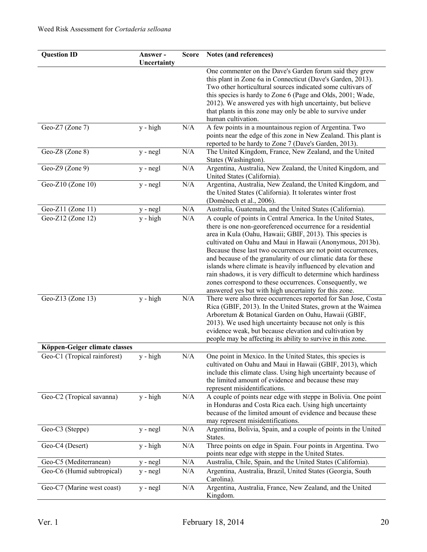| <b>Question ID</b>            | Answer -<br>Uncertainty |           | Score Notes (and references)                                                                                                                                                                                                                                                                                                                                                                                                                                                                                                                                                                                                                  |
|-------------------------------|-------------------------|-----------|-----------------------------------------------------------------------------------------------------------------------------------------------------------------------------------------------------------------------------------------------------------------------------------------------------------------------------------------------------------------------------------------------------------------------------------------------------------------------------------------------------------------------------------------------------------------------------------------------------------------------------------------------|
|                               |                         |           | One commenter on the Dave's Garden forum said they grew<br>this plant in Zone 6a in Connecticut (Dave's Garden, 2013).<br>Two other horticultural sources indicated some cultivars of<br>this species is hardy to Zone 6 (Page and Olds, 2001; Wade,<br>2012). We answered yes with high uncertainty, but believe                                                                                                                                                                                                                                                                                                                             |
|                               |                         |           | that plants in this zone may only be able to survive under<br>human cultivation.                                                                                                                                                                                                                                                                                                                                                                                                                                                                                                                                                              |
| Geo-Z7 (Zone 7)               | $y - high$              | N/A       | A few points in a mountainous region of Argentina. Two<br>points near the edge of this zone in New Zealand. This plant is<br>reported to be hardy to Zone 7 (Dave's Garden, 2013).                                                                                                                                                                                                                                                                                                                                                                                                                                                            |
| Geo-Z8 (Zone 8)               | $y - negl$              | N/A       | The United Kingdom, France, New Zealand, and the United<br>States (Washington).                                                                                                                                                                                                                                                                                                                                                                                                                                                                                                                                                               |
| Geo-Z9 (Zone 9)               | $y - negl$              | $\rm N/A$ | Argentina, Australia, New Zealand, the United Kingdom, and<br>United States (California).                                                                                                                                                                                                                                                                                                                                                                                                                                                                                                                                                     |
| Geo-Z10 (Zone $10$ )          | $y - negl$              | N/A       | Argentina, Australia, New Zealand, the United Kingdom, and<br>the United States (California). It tolerates winter frost<br>(Domènech et al., 2006).                                                                                                                                                                                                                                                                                                                                                                                                                                                                                           |
| Geo-Z11 (Zone 11)             | y - negl                | N/A       | Australia, Guatemala, and the United States (California).                                                                                                                                                                                                                                                                                                                                                                                                                                                                                                                                                                                     |
| Geo-Z12 (Zone 12)             | $y - high$              | N/A       | A couple of points in Central America. In the United States,<br>there is one non-georeferenced occurrence for a residential<br>area in Kula (Oahu, Hawaii; GBIF, 2013). This species is<br>cultivated on Oahu and Maui in Hawaii (Anonymous, 2013b).<br>Because these last two occurrences are not point occurrences,<br>and because of the granularity of our climatic data for these<br>islands where climate is heavily influenced by elevation and<br>rain shadows, it is very difficult to determine which hardiness<br>zones correspond to these occurrences. Consequently, we<br>answered yes but with high uncertainty for this zone. |
| Geo-Z13 (Zone 13)             | $y - high$              | N/A       | There were also three occurrences reported for San Jose, Costa<br>Rica (GBIF, 2013). In the United States, grown at the Waimea<br>Arboretum & Botanical Garden on Oahu, Hawaii (GBIF,<br>2013). We used high uncertainty because not only is this<br>evidence weak, but because elevation and cultivation by<br>people may be affecting its ability to survive in this zone.                                                                                                                                                                                                                                                                  |
| Köppen-Geiger climate classes |                         |           |                                                                                                                                                                                                                                                                                                                                                                                                                                                                                                                                                                                                                                               |
| Geo-C1 (Tropical rainforest)  | $\overline{y}$ - high   | N/A       | One point in Mexico. In the United States, this species is<br>cultivated on Oahu and Maui in Hawaii (GBIF, 2013), which<br>include this climate class. Using high uncertainty because of<br>the limited amount of evidence and because these may<br>represent misidentifications.                                                                                                                                                                                                                                                                                                                                                             |
| Geo-C2 (Tropical savanna)     | $y - high$              | N/A       | A couple of points near edge with steppe in Bolivia. One point<br>in Honduras and Costa Rica each. Using high uncertainty<br>because of the limited amount of evidence and because these<br>may represent misidentifications.                                                                                                                                                                                                                                                                                                                                                                                                                 |
| Geo-C3 (Steppe)               | $y - negl$              | N/A       | Argentina, Bolivia, Spain, and a couple of points in the United<br>States.                                                                                                                                                                                                                                                                                                                                                                                                                                                                                                                                                                    |
| Geo-C4 (Desert)               | $y - high$              | N/A       | Three points on edge in Spain. Four points in Argentina. Two<br>points near edge with steppe in the United States.                                                                                                                                                                                                                                                                                                                                                                                                                                                                                                                            |
| Geo-C5 (Mediterranean)        | y - negl                | $\rm N/A$ | Australia, Chile, Spain, and the United States (California).                                                                                                                                                                                                                                                                                                                                                                                                                                                                                                                                                                                  |
| Geo-C6 (Humid subtropical)    | y - negl                | N/A       | Argentina, Australia, Brazil, United States (Georgia, South<br>Carolina).                                                                                                                                                                                                                                                                                                                                                                                                                                                                                                                                                                     |
| Geo-C7 (Marine west coast)    | $y - negl$              | N/A       | Argentina, Australia, France, New Zealand, and the United<br>Kingdom.                                                                                                                                                                                                                                                                                                                                                                                                                                                                                                                                                                         |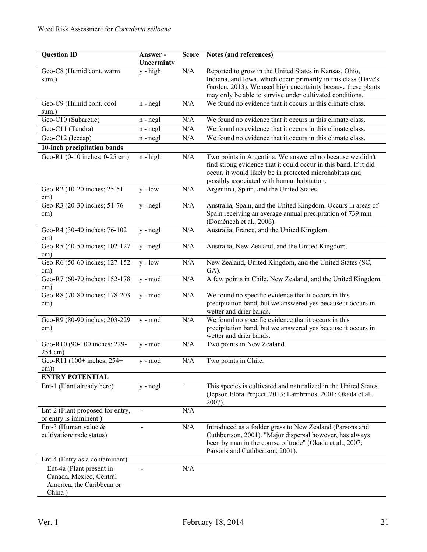| <b>Question ID</b>                          | Answer -<br>Uncertainty | <b>Score</b> | Notes (and references)                                                |
|---------------------------------------------|-------------------------|--------------|-----------------------------------------------------------------------|
| Geo-C8 (Humid cont. warm                    | $y - high$              | $\rm N/A$    | Reported to grow in the United States in Kansas, Ohio,                |
| sum.)                                       |                         |              | Indiana, and Iowa, which occur primarily in this class (Dave's        |
|                                             |                         |              | Garden, 2013). We used high uncertainty because these plants          |
|                                             |                         |              | may only be able to survive under cultivated conditions.              |
| Geo-C9 (Humid cont. cool                    | $n - negl$              | N/A          | We found no evidence that it occurs in this climate class.            |
| sum.)                                       |                         |              |                                                                       |
| Geo-C10 (Subarctic)                         | $n - negl$              | N/A          | We found no evidence that it occurs in this climate class.            |
| Geo-C11 (Tundra)                            | $n - negl$              | N/A          | We found no evidence that it occurs in this climate class.            |
| Geo-C12 (Icecap)                            | $n - negl$              | N/A          | We found no evidence that it occurs in this climate class.            |
| 10-inch precipitation bands                 |                         |              |                                                                       |
| Geo-R1 (0-10 inches; 0-25 cm)               | $n - high$              | N/A          | Two points in Argentina. We answered no because we didn't             |
|                                             |                         |              | find strong evidence that it could occur in this band. If it did      |
|                                             |                         |              | occur, it would likely be in protected microhabitats and              |
|                                             |                         |              | possibly associated with human habitation.                            |
| Geo-R2 (10-20 inches; 25-51<br>cm)          | $y - low$               | N/A          | Argentina, Spain, and the United States.                              |
| Geo-R3 (20-30 inches; 51-76                 | $y - negl$              | N/A          | Australia, Spain, and the United Kingdom. Occurs in areas of          |
| $\text{cm}$ )                               |                         |              | Spain receiving an average annual precipitation of 739 mm             |
|                                             |                         |              | (Domènech et al., 2006).                                              |
| Geo-R4 (30-40 inches; 76-102<br>cm)         | $y - negl$              | N/A          | Australia, France, and the United Kingdom.                            |
| Geo-R5 (40-50 inches; 102-127               | y - negl                | N/A          | Australia, New Zealand, and the United Kingdom.                       |
| cm)                                         |                         |              |                                                                       |
| Geo-R6 (50-60 inches; 127-152<br>cm)        | $y - low$               | N/A          | New Zealand, United Kingdom, and the United States (SC,<br>GA).       |
| Geo-R7 (60-70 inches; 152-178               | y - mod                 | N/A          | A few points in Chile, New Zealand, and the United Kingdom.           |
| cm)                                         |                         |              |                                                                       |
| Geo-R8 (70-80 inches; 178-203               | y - mod                 | N/A          | We found no specific evidence that it occurs in this                  |
| $\text{cm}$ )                               |                         |              | precipitation band, but we answered yes because it occurs in          |
|                                             |                         |              | wetter and drier bands.                                               |
| Geo-R9 (80-90 inches; 203-229               | y - mod                 | N/A          | We found no specific evidence that it occurs in this                  |
| $\text{cm}$ )                               |                         |              | precipitation band, but we answered yes because it occurs in          |
|                                             |                         |              | wetter and drier bands.                                               |
| Geo-R10 (90-100 inches; 229-<br>254 cm)     | y - mod                 | N/A          | Two points in New Zealand.                                            |
| Geo-R11 (100+ inches; 254+<br>$\text{cm}$ ) | y - mod                 | N/A          | Two points in Chile.                                                  |
| <b>ENTRY POTENTIAL</b>                      |                         |              |                                                                       |
| Ent-1 (Plant already here)                  | $y - negl$              | 1            | This species is cultivated and naturalized in the United States       |
|                                             |                         |              | (Jepson Flora Project, 2013; Lambrinos, 2001; Okada et al.,<br>2007). |
| Ent-2 (Plant proposed for entry,            |                         | N/A          |                                                                       |
| or entry is imminent)                       |                         |              |                                                                       |
| Ent-3 (Human value $\&$                     |                         | N/A          | Introduced as a fodder grass to New Zealand (Parsons and              |
| cultivation/trade status)                   |                         |              | Cuthbertson, 2001). "Major dispersal however, has always              |
|                                             |                         |              | been by man in the course of trade" (Okada et al., 2007;              |
|                                             |                         |              | Parsons and Cuthbertson, 2001).                                       |
| Ent-4 (Entry as a contaminant)              |                         |              |                                                                       |
| Ent-4a (Plant present in                    |                         | N/A          |                                                                       |
| Canada, Mexico, Central                     |                         |              |                                                                       |
| America, the Caribbean or                   |                         |              |                                                                       |
| China)                                      |                         |              |                                                                       |